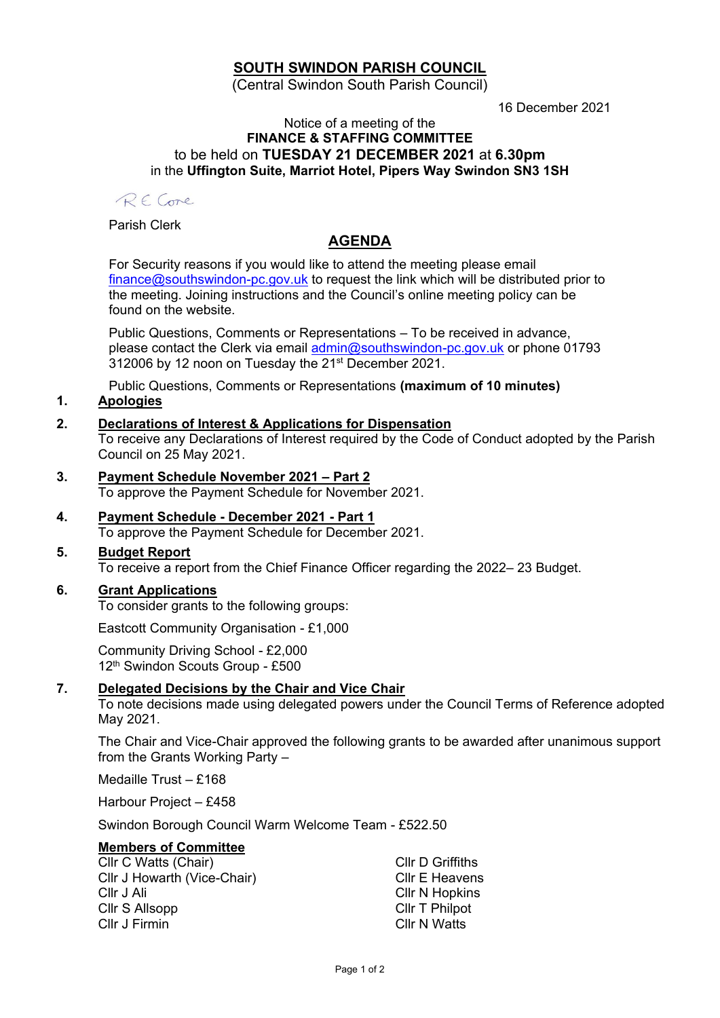# **SOUTH SWINDON PARISH COUNCIL**

(Central Swindon South Parish Council)

16 December 2021

#### Notice of a meeting of the **FINANCE & STAFFING COMMITTEE** to be held on **TUESDAY 21 DECEMBER 2021** at **6.30pm** in the **Uffington Suite, Marriot Hotel, Pipers Way Swindon SN3 1SH**

RE Come

Parish Clerk

# **AGENDA**

For Security reasons if you would like to attend the meeting please email [finance@southswindon-pc.gov.uk](mailto:finance@southswindon-pc.gov.uk) to request the link which will be distributed prior to the meeting. Joining instructions and the Council's online meeting policy can be found on the website.

Public Questions, Comments or Representations – To be received in advance, please contact the Clerk via email [admin@southswindon-pc.gov.uk](mailto:admin@southswindon-pc.gov.uk) or phone 01793 312006 by 12 noon on Tuesday the 21<sup>st</sup> December 2021.

Public Questions, Comments or Representations **(maximum of 10 minutes)**

## **1. Apologies**

#### **2. Declarations of Interest & Applications for Dispensation**

To receive any Declarations of Interest required by the Code of Conduct adopted by the Parish Council on 25 May 2021.

- **3. Payment Schedule November 2021 – Part 2** To approve the Payment Schedule for November 2021.
- **4. Payment Schedule - December 2021 - Part 1** To approve the Payment Schedule for December 2021.
- **5. Budget Report**

To receive a report from the Chief Finance Officer regarding the 2022– 23 Budget.

#### **6. Grant Applications**

To consider grants to the following groups:

Eastcott Community Organisation - £1,000

Community Driving School - £2,000 12<sup>th</sup> Swindon Scouts Group - £500

#### **7. Delegated Decisions by the Chair and Vice Chair**

To note decisions made using delegated powers under the Council Terms of Reference adopted May 2021.

The Chair and Vice-Chair approved the following grants to be awarded after unanimous support from the Grants Working Party –

Medaille Trust – £168

Harbour Project – £458

Swindon Borough Council Warm Welcome Team - £522.50

### **Members of Committee**

| Cllr C Watts (Chair)        | <b>CIIr D Griffiths</b> |
|-----------------------------|-------------------------|
| Cllr J Howarth (Vice-Chair) | Cllr E Heavens          |
| Cllr J Ali                  | <b>CIIr N Hopkins</b>   |
| Cllr S Allsopp              | Cllr T Philpot          |
| Cllr J Firmin               | Cllr N Watts            |
|                             |                         |